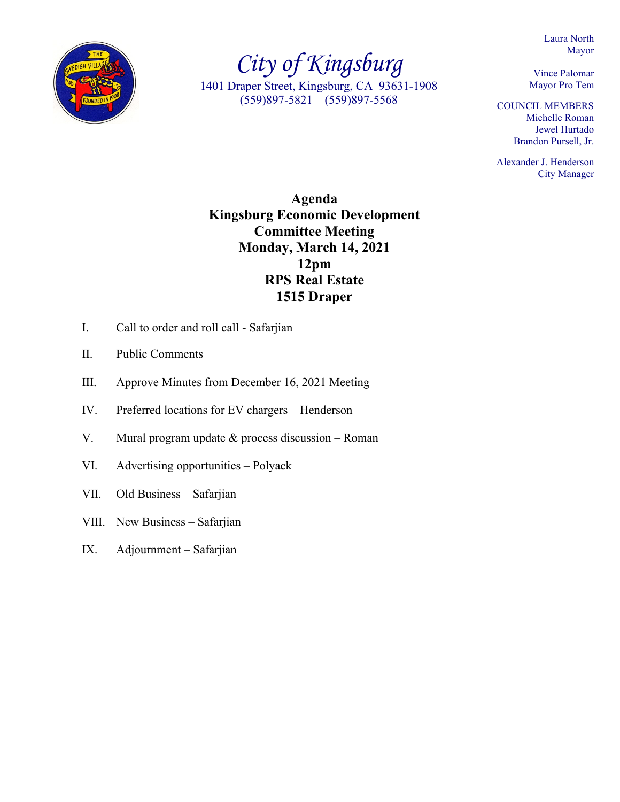Laura North Mayor



*City of Kingsburg* 1401 Draper Street, Kingsburg, CA 93631-1908 (559)897-5821 (559)897-5568

Vince Palomar Mayor Pro Tem

COUNCIL MEMBERS Michelle Roman Jewel Hurtado Brandon Pursell, Jr.

Alexander J. Henderson City Manager

**Agenda Kingsburg Economic Development Committee Meeting Monday, March 14, 2021 12pm RPS Real Estate 1515 Draper**

- I. Call to order and roll call Safarjian
- II. Public Comments
- III. Approve Minutes from December 16, 2021 Meeting
- IV. Preferred locations for EV chargers Henderson
- V. Mural program update & process discussion Roman
- VI. Advertising opportunities Polyack
- VII. Old Business Safarjian
- VIII. New Business Safarjian
- IX. Adjournment Safarjian